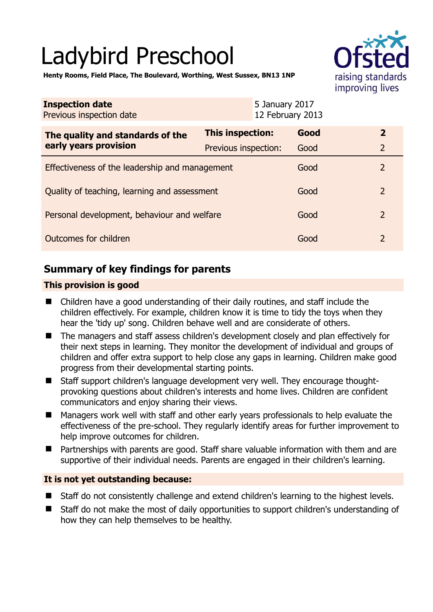# Ladybird Preschool



**Henty Rooms, Field Place, The Boulevard, Worthing, West Sussex, BN13 1NP** 

| <b>Inspection date</b><br>Previous inspection date        |                      | 5 January 2017<br>12 February 2013 |                |
|-----------------------------------------------------------|----------------------|------------------------------------|----------------|
| The quality and standards of the<br>early years provision | This inspection:     | Good                               | $\overline{2}$ |
|                                                           | Previous inspection: | Good                               | $\overline{2}$ |
| Effectiveness of the leadership and management            |                      | Good                               | $\overline{2}$ |
| Quality of teaching, learning and assessment              |                      | Good                               | $\overline{2}$ |
| Personal development, behaviour and welfare               |                      | Good                               | 2              |
| Outcomes for children                                     |                      | Good                               | 2              |

# **Summary of key findings for parents**

#### **This provision is good**

- Children have a good understanding of their daily routines, and staff include the children effectively. For example, children know it is time to tidy the toys when they hear the 'tidy up' song. Children behave well and are considerate of others.
- The managers and staff assess children's development closely and plan effectively for their next steps in learning. They monitor the development of individual and groups of children and offer extra support to help close any gaps in learning. Children make good progress from their developmental starting points.
- Staff support children's language development very well. They encourage thoughtprovoking questions about children's interests and home lives. Children are confident communicators and enjoy sharing their views.
- Managers work well with staff and other early years professionals to help evaluate the effectiveness of the pre-school. They regularly identify areas for further improvement to help improve outcomes for children.
- Partnerships with parents are good. Staff share valuable information with them and are supportive of their individual needs. Parents are engaged in their children's learning.

## **It is not yet outstanding because:**

- Staff do not consistently challenge and extend children's learning to the highest levels.
- Staff do not make the most of daily opportunities to support children's understanding of how they can help themselves to be healthy.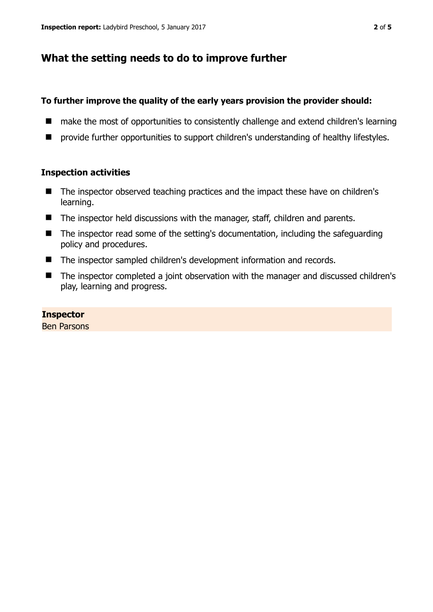## **What the setting needs to do to improve further**

#### **To further improve the quality of the early years provision the provider should:**

- make the most of opportunities to consistently challenge and extend children's learning
- $\blacksquare$  provide further opportunities to support children's understanding of healthy lifestyles.

#### **Inspection activities**

- The inspector observed teaching practices and the impact these have on children's learning.
- The inspector held discussions with the manager, staff, children and parents.
- The inspector read some of the setting's documentation, including the safeguarding policy and procedures.
- The inspector sampled children's development information and records.
- The inspector completed a joint observation with the manager and discussed children's play, learning and progress.

#### **Inspector**

Ben Parsons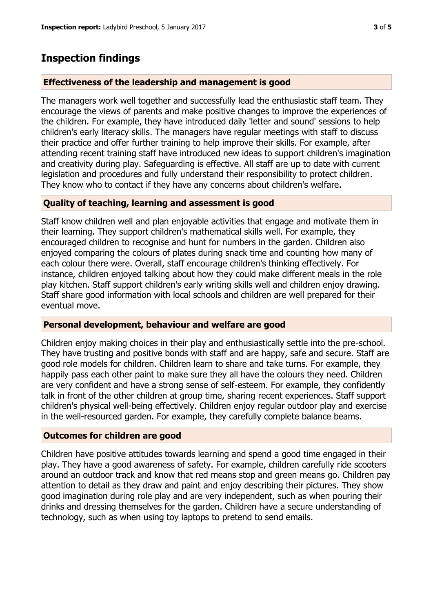## **Inspection findings**

#### **Effectiveness of the leadership and management is good**

The managers work well together and successfully lead the enthusiastic staff team. They encourage the views of parents and make positive changes to improve the experiences of the children. For example, they have introduced daily 'letter and sound' sessions to help children's early literacy skills. The managers have regular meetings with staff to discuss their practice and offer further training to help improve their skills. For example, after attending recent training staff have introduced new ideas to support children's imagination and creativity during play. Safeguarding is effective. All staff are up to date with current legislation and procedures and fully understand their responsibility to protect children. They know who to contact if they have any concerns about children's welfare.

#### **Quality of teaching, learning and assessment is good**

Staff know children well and plan enjoyable activities that engage and motivate them in their learning. They support children's mathematical skills well. For example, they encouraged children to recognise and hunt for numbers in the garden. Children also enjoyed comparing the colours of plates during snack time and counting how many of each colour there were. Overall, staff encourage children's thinking effectively. For instance, children enjoyed talking about how they could make different meals in the role play kitchen. Staff support children's early writing skills well and children enjoy drawing. Staff share good information with local schools and children are well prepared for their eventual move.

#### **Personal development, behaviour and welfare are good**

Children enjoy making choices in their play and enthusiastically settle into the pre-school. They have trusting and positive bonds with staff and are happy, safe and secure. Staff are good role models for children. Children learn to share and take turns. For example, they happily pass each other paint to make sure they all have the colours they need. Children are very confident and have a strong sense of self-esteem. For example, they confidently talk in front of the other children at group time, sharing recent experiences. Staff support children's physical well-being effectively. Children enjoy regular outdoor play and exercise in the well-resourced garden. For example, they carefully complete balance beams.

## **Outcomes for children are good**

Children have positive attitudes towards learning and spend a good time engaged in their play. They have a good awareness of safety. For example, children carefully ride scooters around an outdoor track and know that red means stop and green means go. Children pay attention to detail as they draw and paint and enjoy describing their pictures. They show good imagination during role play and are very independent, such as when pouring their drinks and dressing themselves for the garden. Children have a secure understanding of technology, such as when using toy laptops to pretend to send emails.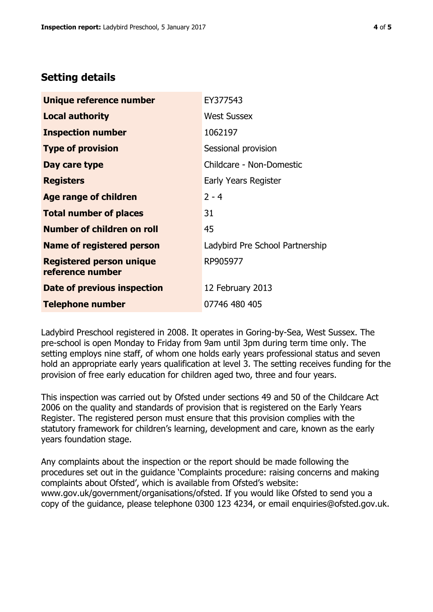## **Setting details**

| Unique reference number                             | EY377543                        |  |
|-----------------------------------------------------|---------------------------------|--|
| <b>Local authority</b>                              | <b>West Sussex</b>              |  |
| <b>Inspection number</b>                            | 1062197                         |  |
| <b>Type of provision</b>                            | Sessional provision             |  |
| Day care type                                       | Childcare - Non-Domestic        |  |
| <b>Registers</b>                                    | Early Years Register            |  |
| <b>Age range of children</b>                        | $2 - 4$                         |  |
| <b>Total number of places</b>                       | 31                              |  |
| <b>Number of children on roll</b>                   | 45                              |  |
| Name of registered person                           | Ladybird Pre School Partnership |  |
| <b>Registered person unique</b><br>reference number | RP905977                        |  |
| Date of previous inspection                         | 12 February 2013                |  |
| <b>Telephone number</b>                             | 07746 480 405                   |  |

Ladybird Preschool registered in 2008. It operates in Goring-by-Sea, West Sussex. The pre-school is open Monday to Friday from 9am until 3pm during term time only. The setting employs nine staff, of whom one holds early years professional status and seven hold an appropriate early years qualification at level 3. The setting receives funding for the provision of free early education for children aged two, three and four years.

This inspection was carried out by Ofsted under sections 49 and 50 of the Childcare Act 2006 on the quality and standards of provision that is registered on the Early Years Register. The registered person must ensure that this provision complies with the statutory framework for children's learning, development and care, known as the early years foundation stage.

Any complaints about the inspection or the report should be made following the procedures set out in the guidance 'Complaints procedure: raising concerns and making complaints about Ofsted', which is available from Ofsted's website: www.gov.uk/government/organisations/ofsted. If you would like Ofsted to send you a copy of the guidance, please telephone 0300 123 4234, or email enquiries@ofsted.gov.uk.